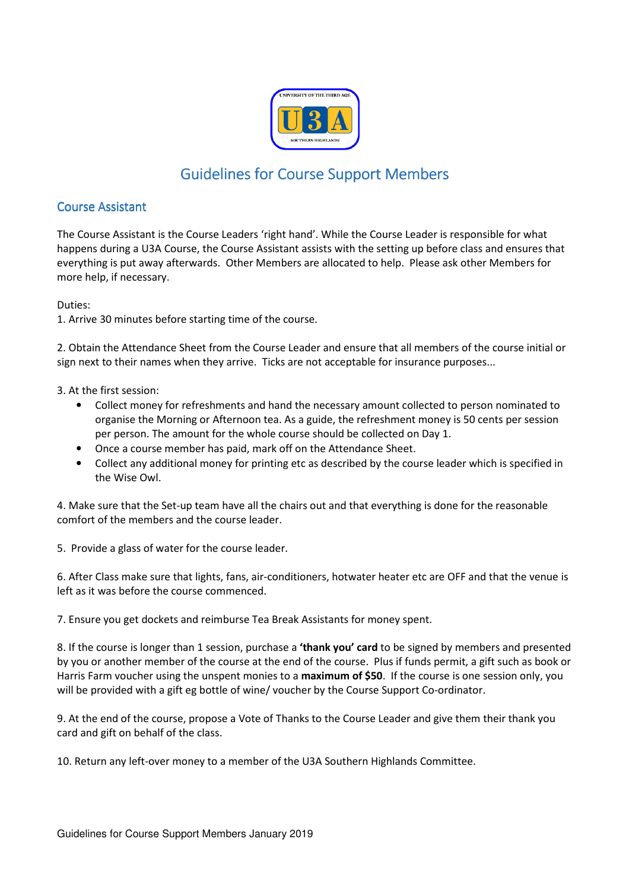

# Guidelines for Course Support Members

# **Course Assistant**

The Course Assistant is the Course Leaders 'right hand'. While the Course Leader is responsible for what happens during a U3A Course, the Course Assistant assists with the setting up before class and ensures that everything is put away afterwards. Other Members are allocated to help. Please ask other Members for more help, if necessary.

Duties:

1. Arrive 30 minutes before starting time of the course.

2. Obtain the Attendance Sheet from the Course Leader and ensure that all members of the course initial or sign next to their names when they arrive. Ticks are not acceptable for insurance purposes...

3. At the first session:

- Collect money for refreshments and hand the necessary amount collected to person nominated to organise the Morning or Afternoon tea. As a guide, the refreshment money is 50 cents per session per person. The amount for the whole course should be collected on Day 1.
- Once a course member has paid, mark off on the Attendance Sheet.
- Collect any additional money for printing etc as described by the course leader which is specified in the Wise Owl.

4. Make sure that the Set-up team have all the chairs out and that everything is done for the reasonable comfort of the members and the course leader.

5. Provide a glass of water for the course leader.

6. After Class make sure that lights, fans, air-conditioners, hotwater heater etc are OFF and that the venue is left as it was before the course commenced.

7. Ensure you get dockets and reimburse Tea Break Assistants for money spent.

8. If the course is longer than 1 session, purchase a **'thank you' card** to be signed by members and presented by you or another member of the course at the end of the course. Plus if funds permit, a gift such as book or Harris Farm voucher using the unspent monies to a **maximum of \$50**. If the course is one session only, you will be provided with a gift eg bottle of wine/ voucher by the Course Support Co-ordinator.

9. At the end of the course, propose a Vote of Thanks to the Course Leader and give them their thank you card and gift on behalf of the class.

10. Return any left-over money to a member of the U3A Southern Highlands Committee.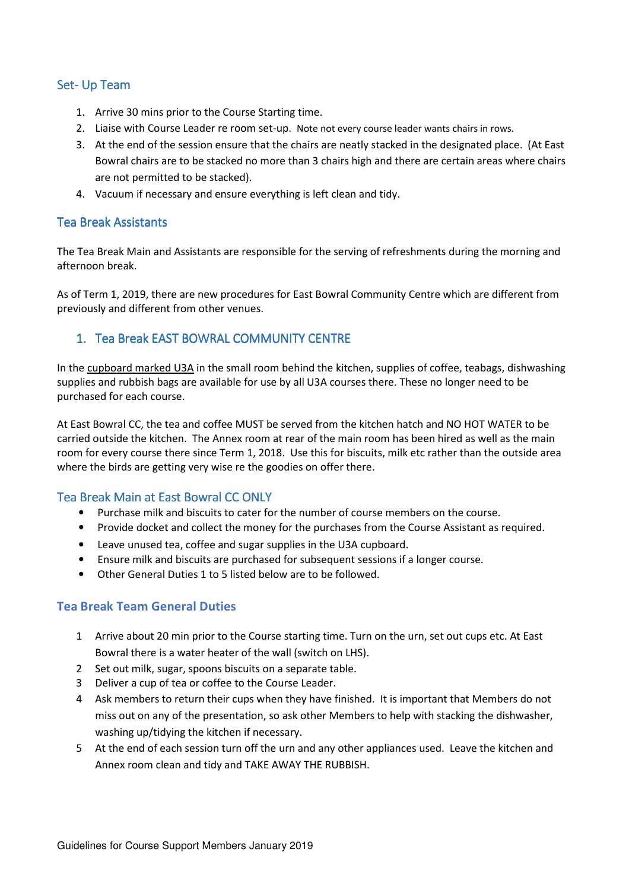### Set-Up Team

- 1. Arrive 30 mins prior to the Course Starting time.
- 2. Liaise with Course Leader re room set-up. Note not every course leader wants chairs in rows.
- 3. At the end of the session ensure that the chairs are neatly stacked in the designated place. (At East Bowral chairs are to be stacked no more than 3 chairs high and there are certain areas where chairs are not permitted to be stacked).
- 4. Vacuum if necessary and ensure everything is left clean and tidy.

#### **Tea Break Assistants**

The Tea Break Main and Assistants are responsible for the serving of refreshments during the morning and afternoon break.

As of Term 1, 2019, there are new procedures for East Bowral Community Centre which are different from previously and different from other venues.

## 1. Tea Break EAST BOWRAL COMMUNITY CENTRE

In the cupboard marked U3A in the small room behind the kitchen, supplies of coffee, teabags, dishwashing supplies and rubbish bags are available for use by all U3A courses there. These no longer need to be purchased for each course.

At East Bowral CC, the tea and coffee MUST be served from the kitchen hatch and NO HOT WATER to be carried outside the kitchen. The Annex room at rear of the main room has been hired as well as the main room for every course there since Term 1, 2018. Use this for biscuits, milk etc rather than the outside area where the birds are getting very wise re the goodies on offer there.

#### Tea Break Main at East Bowral CC ONLY

- Purchase milk and biscuits to cater for the number of course members on the course.
- Provide docket and collect the money for the purchases from the Course Assistant as required.
- Leave unused tea, coffee and sugar supplies in the U3A cupboard.
- Ensure milk and biscuits are purchased for subsequent sessions if a longer course.
- Other General Duties 1 to 5 listed below are to be followed.

#### **Tea Break Team General Duties**

- 1 Arrive about 20 min prior to the Course starting time. Turn on the urn, set out cups etc. At East Bowral there is a water heater of the wall (switch on LHS).
- 2 Set out milk, sugar, spoons biscuits on a separate table.
- 3 Deliver a cup of tea or coffee to the Course Leader.
- 4 Ask members to return their cups when they have finished. It is important that Members do not miss out on any of the presentation, so ask other Members to help with stacking the dishwasher, washing up/tidying the kitchen if necessary.
- 5 At the end of each session turn off the urn and any other appliances used. Leave the kitchen and Annex room clean and tidy and TAKE AWAY THE RUBBISH.